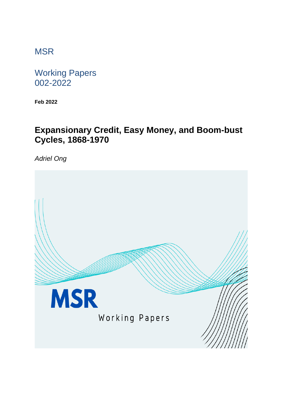# **MSR**

Working Papers 002-2022

**Feb 2022**

# **Expansionary Credit, Easy Money, and Boom-bust Cycles, 1868-1970**

*Adriel Ong*

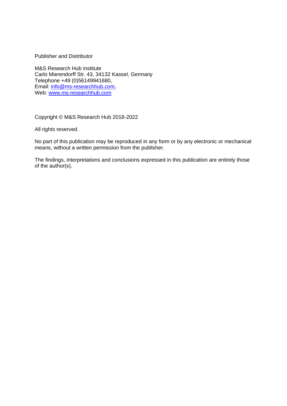Publisher and Distributor

M&S Research Hub institute Carlo Mierendorff Str. 43, 34132 Kassel, Germany Telephone +49 (0)56149941680, Email: [info@ms-researchhub.com,](mailto:info@ms-researchhub.com) Web: [www.ms-researchhub.com](http://www.ms-researchhub.com/)

Copyright © M&S Research Hub 2018-2022

All rights reserved.

No part of this publication may be reproduced in any form or by any electronic or mechanical means, without a written permission from the publisher.

The findings, interpretations and conclusions expressed in this publication are entirely those of the author(s).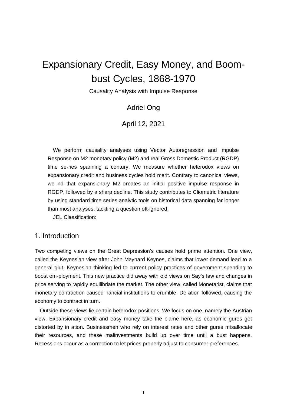# Expansionary Credit, Easy Money, and Boombust Cycles, 1868-1970

Causality Analysis with Impulse Response

## Adriel Ong

### April 12, 2021

We perform causality analyses using Vector Autoregression and Impulse Response on M2 monetary policy (M2) and real Gross Domestic Product (RGDP) time se-ries spanning a century. We measure whether heterodox views on expansionary credit and business cycles hold merit. Contrary to canonical views, we nd that expansionary M2 creates an initial positive impulse response in RGDP, followed by a sharp decline. This study contributes to Cliometric literature by using standard time series analytic tools on historical data spanning far longer than most analyses, tackling a question oft-ignored.

JEL Classification:

## 1. Introduction

Two competing views on the Great Depression's causes hold prime attention. One view, called the Keynesian view after John Maynard Keynes, claims that lower demand lead to a general glut. Keynesian thinking led to current policy practices of government spending to boost em-ployment. This new practice did away with old views on Say's law and changes in price serving to rapidly equilibriate the market. The other view, called Monetarist, claims that monetary contraction caused nancial institutions to crumble. De ation followed, causing the economy to contract in turn.

Outside these views lie certain heterodox positions. We focus on one, namely the Austrian view. Expansionary credit and easy money take the blame here, as economic gures get distorted by in ation. Businessmen who rely on interest rates and other gures misallocate their resources, and these malinvestments build up over time until a bust happens. Recessions occur as a correction to let prices properly adjust to consumer preferences.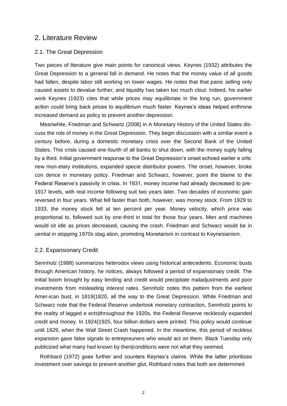## 2. Literature Review

#### 2.1. The Great Depression

Two pieces of literature give main points for canonical views. Keynes (1932) attributes the Great Depression to a general fall in demand. He notes that the money value of all goods had fallen, despite labor still working on lower wages. He notes that that panic selling only caused assets to devalue further, and liquidity has taken too much clout. Indeed, his earlier work Keynes (1923) cites that while prices may equilibriate in the long run, government action could bring back prices to equilibrium much faster. Keynes's ideas helped enthrone increased demand as policy to prevent another depression.

Meanwhile, Friedman and Schwartz (2008) in A Monetary History of the United States discuss the role of money in the Great Depression. They begin discussion with a similar event a century before, during a domestic monetary crisis over the Second Bank of the United States. This crisis caused one-fourth of all banks to shut down, with the money suply falling by a third. Initial government response to the Great Depression's onset echoed earlier e orts: new mon-etary institutions, expanded specie distributor powers. The onset, however, broke con dence in monetary policy. Friedman and Schwarz, however, point the blame to the Federal Reserve's passivity in crisis. In 1931, money income had already decreased to pre-1917 levels, with real income following suit two years later. Two decades of economic gain reversed in four years. What fell faster than both, however, was money stock. From 1929 to 1933, the money stock fell at ten percent per year. Money velocity, which price was proportional to, followed suit by one-third in total for those four years. Men and machines would sit idle as prices decreased, causing the crash. Friedman and Schwarz would be in uential in stopping 1970s stag ation, promoting Monetarism in contrast to Keynesianism.

#### 2.2. Expansionary Credit

Sennholz (1988) summarizes heterodox views using historical antecedents. Economic busts through American history, he notices, always followed a period of expansionary credit. The initial boom brought by easy lending and credit would precipitate maladjustments and poor investments from misleading interest rates. Sennholz notes this pattern from the earliest Amer-ican bust, in 1819{1820, all the way to the Great Depression. While Friedman and Schwarz note that the Federal Reserve undertook monetary contraction, Sennholz points to the reality of lagged e ects|throughout the 1920s, the Federal Reserve recklessly expanded credit and money. In 1924{1925, four billion dollars were printed. This policy would continue until 1929, when the Wall Street Crash happened. In the meantime, this period of reckless expansion gave false signals to entrepreuners who would act on them. Black Tuesday only publicized what many had known by then|conditions were not what they seemed.

Rothbard (1972) goes further and counters Keynes's claims. While the latter prioritizes investment over savings to prevent another glut, Rothbard notes that both are determined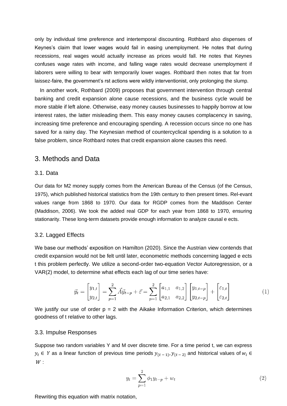only by individual time preference and intertemporal discounting. Rothbard also dispenses of Keynes's claim that lower wages would fail in easing unemployment. He notes that during recessions, real wages would actually increase as prices would fall. He notes that Keynes confuses wage rates with income, and falling wage rates would decrease unemployment if laborers were willing to bear with temporarily lower wages. Rothbard then notes that far from laissez-faire, the government's rst actions were wildly interventionist, only prolonging the slump.

In another work, Rothbard (2009) proposes that government intervention through central banking and credit expansion alone cause recessions, and the business cycle would be more stable if left alone. Otherwise, easy money causes businesses to happily borrow at low interest rates, the latter misleading them. This easy money causes complacency in saving, increasing time preference and encouraging spending. A recession occurs since no one has saved for a rainy day. The Keynesian method of countercyclical spending is a solution to a false problem, since Rothbard notes that credit expansion alone causes this need.

#### 3. Methods and Data

#### 3.1. Data

Our data for M2 money supply comes from the American Bureau of the Census (of the Census, 1975), which published historical statistics from the 19th century to then present times. Rel-evant values range from 1868 to 1970. Our data for RGDP comes from the Maddison Center (Maddison, 2006). We took the added real GDP for each year from 1868 to 1970, ensuring stationarity. These long-term datasets provide enough information to analyze causal e ects.

#### 3.2. Lagged Effects

We base our methods' exposition on Hamilton (2020). Since the Austrian view contends that credit expansion would not be felt until later, econometric methods concerning lagged e ects t this problem perfectly. We utilize a second-order two-equation Vector Autoregression, or a VAR(2) model, to determine what effects each lag of our time series have:

$$
\vec{y}_t = \begin{bmatrix} y_{1,t} \\ y_{2,t} \end{bmatrix} = \sum_{p=1}^2 \vec{A} \vec{y}_{t-p} + \vec{\varepsilon} = \sum_{p=1}^2 \begin{bmatrix} a_{1,1} & a_{1,2} \\ a_{2,1} & a_{2,2} \end{bmatrix} \begin{bmatrix} y_{1,t-p} \\ y_{2,t-p} \end{bmatrix} + \begin{bmatrix} \varepsilon_{1,t} \\ \varepsilon_{2,t} \end{bmatrix}
$$
 (1

We justify our use of order  $p = 2$  with the Aikake Information Criterion, which determines goodness of t relative to other lags.

#### 3.3. Impulse Responses

Suppose two random variables Y and M over discrete time. For a time period t, we can express  $y_t \in Y$  as a linear function of previous time periods  $y_{\{t-1\}}, y_{\{t-2\}}$  and historical values of  $w_i \in Y$  $W:$ 

$$
y_t = \sum_{p=1}^{2} \phi_1 y_{t-p} + w_t \tag{2}
$$

 $\mathcal{L}$ 

Rewriting this equation with matrix notation,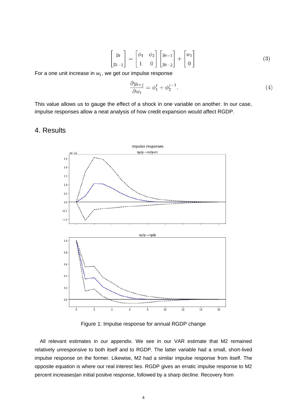$$
\begin{bmatrix} y_t \\ y_{t-1} \end{bmatrix} = \begin{bmatrix} \phi_1 & \phi_2 \\ 1 & 0 \end{bmatrix} \begin{bmatrix} y_{t-1} \\ y_{t-2} \end{bmatrix} + \begin{bmatrix} w_t \\ 0 \end{bmatrix}
$$
 (3)

For a one unit increase in  $w_t$ , we get our impulse response

$$
\frac{\partial y_{t+j}}{\partial w_t} = \phi_1^j + \phi_2^{j-1}.\tag{4}
$$

This value allows us to gauge the effect of a shock in one variable on another. In our case, impulse responses allow a neat analysis of how credit expansion would affect RGDP.

#### 4. Results



Figure 1: Impulse response for annual RGDP change

All relevant estimates in our appendix. We see in our VAR estimate that M2 remained relatively unresponsive to both itself and to RGDP. The latter variable had a small, short-lived impulse response on the former. Likewise, M2 had a similar impulse response from itself. The opposite equation is where our real interest lies. RGDP gives an erratic impulse response to M2 percent increases|an initial positve response, followed by a sharp decline. Recovery from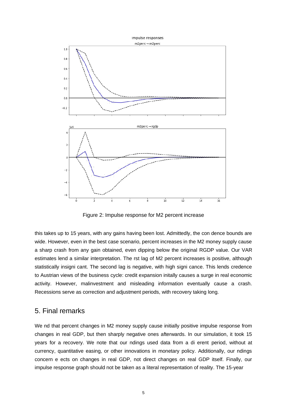

Figure 2: Impulse response for M2 percent increase

this takes up to 15 years, with any gains having been lost. Admittedly, the con dence bounds are wide. However, even in the best case scenario, percent increases in the M2 money supply cause a sharp crash from any gain obtained, even dipping below the original RGDP value. Our VAR estimates lend a similar interpretation. The rst lag of M2 percent increases is positive, although statistically insigni cant. The second lag is negative, with high signi cance. This lends credence to Austrian views of the business cycle: credit expansion initally causes a surge in real economic activity. However, malinvestment and misleading information eventually cause a crash. Recessions serve as correction and adjustment periods, with recovery taking long.

#### 5. Final remarks

We nd that percent changes in M2 money supply cause initially positive impulse response from changes in real GDP, but then sharply negative ones afterwards. In our simulation, it took 15 years for a recovery. We note that our ndings used data from a di erent period, without at currency, quantitative easing, or other innovations in monetary policy. Additionally, our ndings concern e ects on changes in real GDP, not direct changes on real GDP itself. Finally, our impulse response graph should not be taken as a literal representation of reality. The 15-year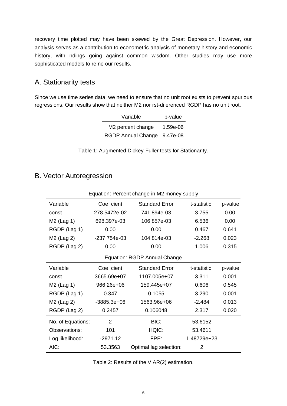recovery time plotted may have been skewed by the Great Depression. However, our analysis serves as a contribution to econometric analysis of monetary history and economic history, with ndings going against common wisdom. Other studies may use more sophisticated models to re ne our results.

# A. Stationarity tests

Since we use time series data, we need to ensure that no unit root exists to prevent spurious regressions. Our results show that neither M2 nor rst-di erenced RGDP has no unit root.

| Variable                    | p-value  |
|-----------------------------|----------|
| M2 percent change           | 1.59e-06 |
| RGDP Annual Change 9.47e-08 |          |

| Table 1: Augmented Dickey-Fuller tests for Stationarity. |  |
|----------------------------------------------------------|--|
|                                                          |  |

# B. Vector Autoregression

| Equation: Percent change in M2 money supply |               |                        |             |         |  |  |
|---------------------------------------------|---------------|------------------------|-------------|---------|--|--|
| Variable                                    | Coe cient     | <b>Standard Error</b>  | t-statistic | p-value |  |  |
| const                                       | 278.5472e-02  | 741.894e-03            | 3.755       | 0.00    |  |  |
| $M2$ (Lag 1)                                | 698.397e-03   | 106.857e-03            | 6.536       | 0.00    |  |  |
| RGDP (Lag 1)                                | 0.00          | 0.00                   | 0.467       | 0.641   |  |  |
| M <sub>2</sub> (Lag 2)                      | -237.754e-03  | 104.814e-03            | $-2.268$    | 0.023   |  |  |
| RGDP (Lag 2)                                | 0.00          | 0.00                   | 1.006       | 0.315   |  |  |
| Equation: RGDP Annual Change                |               |                        |             |         |  |  |
| Variable                                    | Coe cient     | <b>Standard Error</b>  | t-statistic | p-value |  |  |
| const                                       | 3665.69e+07   | 1107.005e+07           | 3.311       | 0.001   |  |  |
| M <sub>2</sub> (Lag 1)                      | 966.26e+06    | 159.445e+07            | 0.606       | 0.545   |  |  |
| RGDP (Lag 1)                                | 0.347         | 0.1055                 | 3.290       | 0.001   |  |  |
| M <sub>2</sub> (Lag 2)                      | $-3885.3e+06$ | 1563.96e+06            | $-2.484$    | 0.013   |  |  |
| RGDP (Lag 2)                                | 0.2457        | 0.106048               | 2.317       | 0.020   |  |  |
| No. of Equations:                           | $\mathcal{P}$ | BIC:                   | 53.6152     |         |  |  |
| Observations:                               | 101           | HQIC:                  | 53.4611     |         |  |  |
| Log likelihood:                             | $-2971.12$    | FPE:                   | 1.48729e+23 |         |  |  |
| AIC:                                        | 53.3563       | Optimal lag selection: | 2           |         |  |  |

Table 2: Results of the V AR(2) estimation.